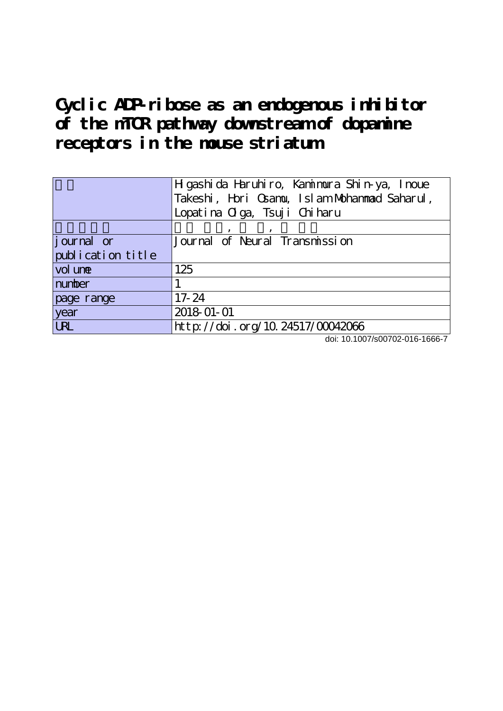**Cyclic ADP-ribose as an endogenous inhibitor of the mTOR pathway downstream of dopamine receptors in the mouse striatum**

|                   | H gashi da Haruhiro, Kamimura Shin-ya, Inoue |  |  |  |
|-------------------|----------------------------------------------|--|--|--|
|                   | Takeshi, Hori Osamu, Islam Mohammad Saharul, |  |  |  |
|                   | Lopatina Olga, Tsuji Chiharu                 |  |  |  |
|                   |                                              |  |  |  |
| journal or        | Journal of Neural Transmission               |  |  |  |
| publication title |                                              |  |  |  |
| vol une           | 125                                          |  |  |  |
| number            |                                              |  |  |  |
| page range        | $17 - 24$                                    |  |  |  |
| year              | 2018-01-01                                   |  |  |  |
| <b>URL</b>        | http://doi.org/10.24517/00042066             |  |  |  |

doi: 10.1007/s00702-016-1666-7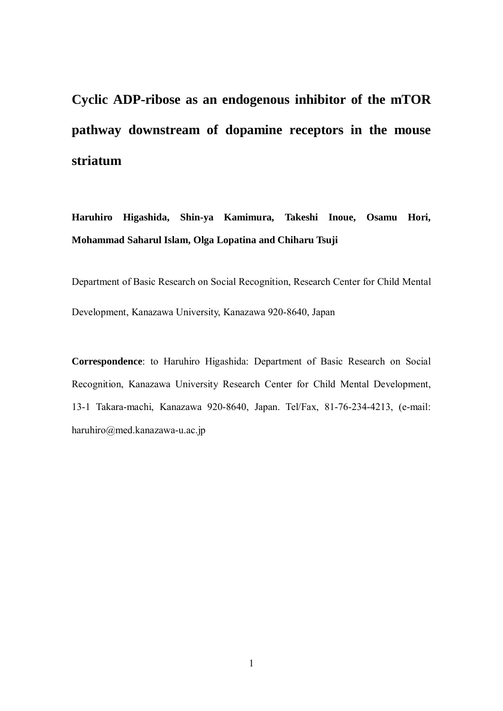**Cyclic ADP-ribose as an endogenous inhibitor of the mTOR pathway downstream of dopamine receptors in the mouse striatum**

**Haruhiro Higashida, Shin-ya Kamimura, Takeshi Inoue, Osamu Hori, Mohammad Saharul Islam, Olga Lopatina and Chiharu Tsuji**

Department of Basic Research on Social Recognition, Research Center for Child Mental Development, Kanazawa University, Kanazawa 920-8640, Japan

**Correspondence**: to Haruhiro Higashida: Department of Basic Research on Social Recognition, Kanazawa University Research Center for Child Mental Development, 13-1 Takara-machi, Kanazawa 920-8640, Japan. Tel/Fax, 81-76-234-4213, (e-mail: haruhiro@med.kanazawa-u.ac.jp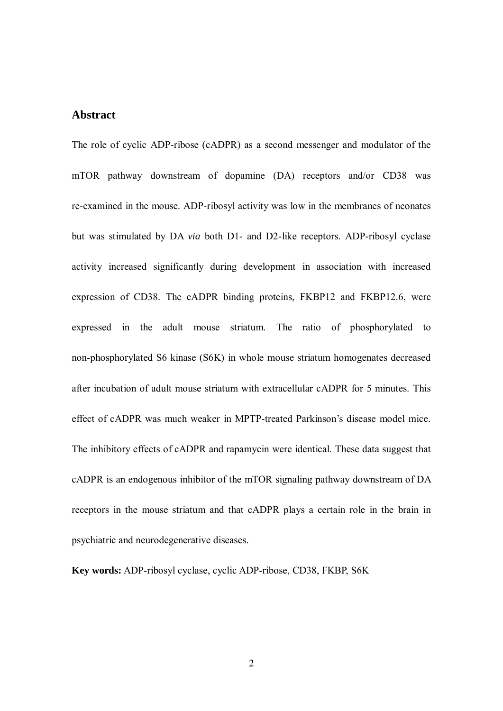# **Abstract**

The role of cyclic ADP-ribose (cADPR) as a second messenger and modulator of the mTOR pathway downstream of dopamine (DA) receptors and/or CD38 was re-examined in the mouse. ADP-ribosyl activity was low in the membranes of neonates but was stimulated by DA *via* both D1- and D2-like receptors. ADP-ribosyl cyclase activity increased significantly during development in association with increased expression of CD38. The cADPR binding proteins, FKBP12 and FKBP12.6, were expressed in the adult mouse striatum. The ratio of phosphorylated to non-phosphorylated S6 kinase (S6K) in whole mouse striatum homogenates decreased after incubation of adult mouse striatum with extracellular cADPR for 5 minutes. This effect of cADPR was much weaker in MPTP-treated Parkinson's disease model mice. The inhibitory effects of cADPR and rapamycin were identical. These data suggest that cADPR is an endogenous inhibitor of the mTOR signaling pathway downstream of DA receptors in the mouse striatum and that cADPR plays a certain role in the brain in psychiatric and neurodegenerative diseases.

**Key words:** ADP-ribosyl cyclase, cyclic ADP-ribose, CD38, FKBP, S6K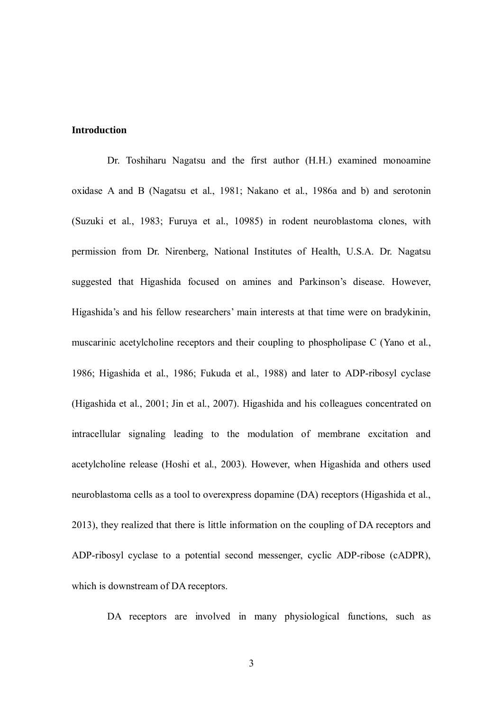#### **Introduction**

Dr. Toshiharu Nagatsu and the first author (H.H.) examined monoamine oxidase A and B (Nagatsu et al., 1981; Nakano et al., 1986a and b) and serotonin (Suzuki et al., 1983; Furuya et al., 10985) in rodent neuroblastoma clones, with permission from Dr. Nirenberg, National Institutes of Health, U.S.A. Dr. Nagatsu suggested that Higashida focused on amines and Parkinson's disease. However, Higashida's and his fellow researchers' main interests at that time were on bradykinin, muscarinic acetylcholine receptors and their coupling to phospholipase C (Yano et al., 1986; Higashida et al., 1986; Fukuda et al., 1988) and later to ADP-ribosyl cyclase (Higashida et al., 2001; Jin et al., 2007). Higashida and his colleagues concentrated on intracellular signaling leading to the modulation of membrane excitation and acetylcholine release (Hoshi et al., 2003). However, when Higashida and others used neuroblastoma cells as a tool to overexpress dopamine (DA) receptors (Higashida et al., 2013), they realized that there is little information on the coupling of DA receptors and ADP-ribosyl cyclase to a potential second messenger, cyclic ADP-ribose (cADPR), which is downstream of DA receptors.

DA receptors are involved in many physiological functions, such as

3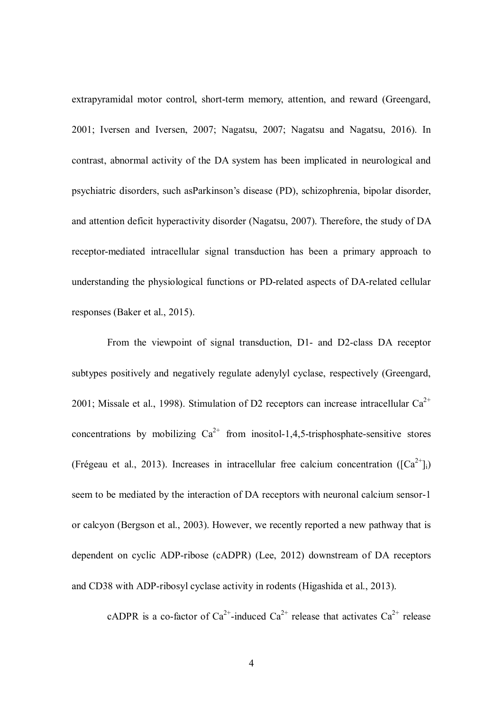extrapyramidal motor control, short-term memory, attention, and reward (Greengard, 2001; Iversen and Iversen, 2007; Nagatsu, 2007; Nagatsu and Nagatsu, 2016). In contrast, abnormal activity of the DA system has been implicated in neurological and psychiatric disorders, such asParkinson's disease (PD), schizophrenia, bipolar disorder, and attention deficit hyperactivity disorder (Nagatsu, 2007). Therefore, the study of DA receptor-mediated intracellular signal transduction has been a primary approach to understanding the physiological functions or PD-related aspects of DA-related cellular responses (Baker et al., 2015).

From the viewpoint of signal transduction, D1- and D2-class DA receptor subtypes positively and negatively regulate adenylyl cyclase, respectively (Greengard, 2001; Missale et al., 1998). Stimulation of D2 receptors can increase intracellular  $Ca^{2+}$ concentrations by mobilizing  $Ca^{2+}$  from inositol-1,4,5-trisphosphate-sensitive stores (Frégeau et al., 2013). Increases in intracellular free calcium concentration ( $[Ca^{2+}]$ i) seem to be mediated by the interaction of DA receptors with neuronal calcium sensor-1 or calcyon (Bergson et al., 2003). However, we recently reported a new pathway that is dependent on cyclic ADP-ribose (cADPR) (Lee, 2012) downstream of DA receptors and CD38 with ADP-ribosyl cyclase activity in rodents (Higashida et al., 2013).

cADPR is a co-factor of  $Ca^{2+}$ -induced  $Ca^{2+}$  release that activates  $Ca^{2+}$  release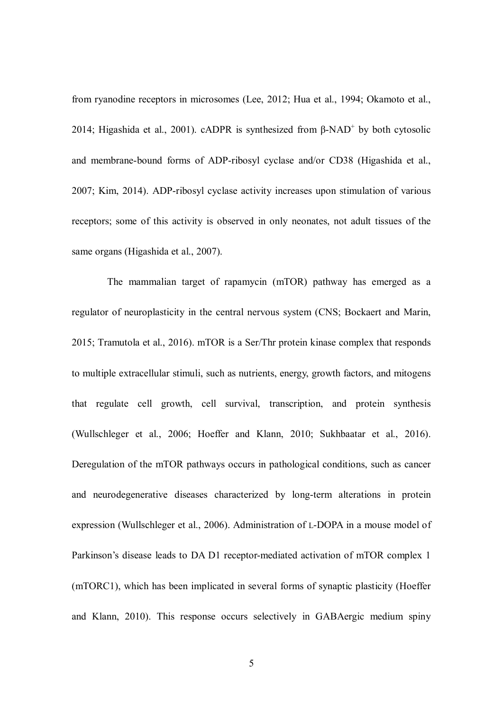from ryanodine receptors in microsomes (Lee, 2012; Hua et al., 1994; Okamoto et al., 2014; Higashida et al., 2001). cADPR is synthesized from  $\beta$ -NAD<sup>+</sup> by both cytosolic and membrane-bound forms of ADP-ribosyl cyclase and/or CD38 (Higashida et al., 2007; Kim, 2014). ADP-ribosyl cyclase activity increases upon stimulation of various receptors; some of this activity is observed in only neonates, not adult tissues of the same organs (Higashida et al., 2007).

The mammalian target of rapamycin (mTOR) pathway has emerged as a regulator of neuroplasticity in the central nervous system (CNS; Bockaert and Marin, 2015; Tramutola et al., 2016). mTOR is a Ser/Thr protein kinase complex that responds to multiple extracellular stimuli, such as nutrients, energy, growth factors, and mitogens that regulate cell growth, cell survival, transcription, and protein synthesis (Wullschleger et al., 2006; Hoeffer and Klann, 2010; Sukhbaatar et al., 2016). Deregulation of the mTOR pathways occurs in pathological conditions, such as cancer and neurodegenerative diseases characterized by long-term alterations in protein expression (Wullschleger et al., 2006). Administration of L-DOPA in a mouse model of Parkinson's disease leads to DA D1 receptor-mediated activation of mTOR complex 1 (mTORC1), which has been implicated in several forms of synaptic plasticity (Hoeffer and Klann, 2010). This response occurs selectively in GABAergic medium spiny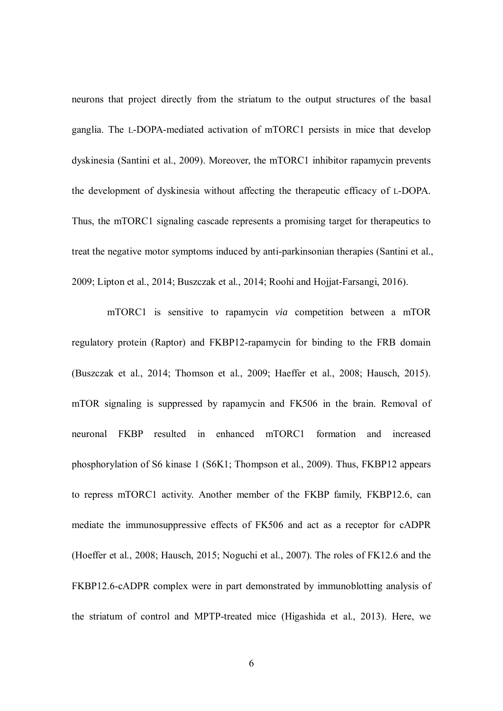neurons that project directly from the striatum to the output structures of the basal ganglia. The L-DOPA-mediated activation of mTORC1 persists in mice that develop dyskinesia (Santini et al., 2009). Moreover, the mTORC1 inhibitor rapamycin prevents the development of dyskinesia without affecting the therapeutic efficacy of L-DOPA. Thus, the mTORC1 signaling cascade represents a promising target for therapeutics to treat the negative motor symptoms induced by anti-parkinsonian therapies (Santini et al., 2009; Lipton et al., 2014; Buszczak et al., 2014; Roohi and Hojjat-Farsangi, 2016).

mTORC1 is sensitive to rapamycin *via* competition between a mTOR regulatory protein (Raptor) and FKBP12-rapamycin for binding to the FRB domain (Buszczak et al., 2014; Thomson et al., 2009; Haeffer et al., 2008; Hausch, 2015). mTOR signaling is suppressed by rapamycin and FK506 in the brain. Removal of neuronal FKBP resulted in enhanced mTORC1 formation and increased phosphorylation of S6 kinase 1 (S6K1; Thompson et al., 2009). Thus, FKBP12 appears to repress mTORC1 activity. Another member of the FKBP family, FKBP12.6, can mediate the immunosuppressive effects of FK506 and act as a receptor for cADPR (Hoeffer et al., 2008; Hausch, 2015; Noguchi et al., 2007). The roles of FK12.6 and the FKBP12.6-cADPR complex were in part demonstrated by immunoblotting analysis of the striatum of control and MPTP-treated mice (Higashida et al., 2013). Here, we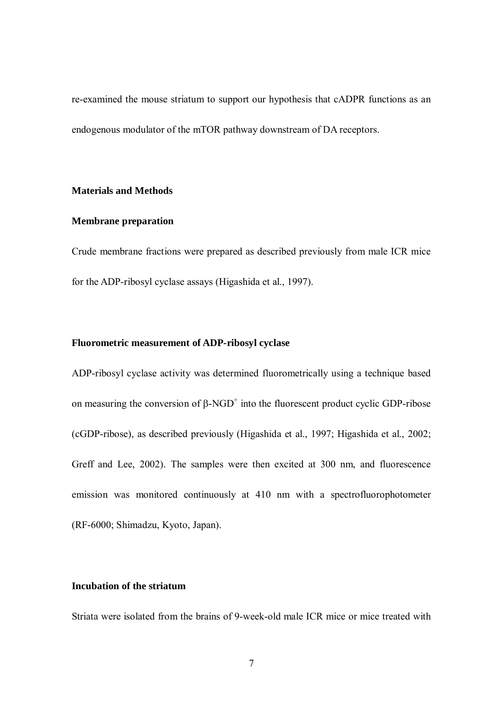re-examined the mouse striatum to support our hypothesis that cADPR functions as an endogenous modulator of the mTOR pathway downstream of DA receptors.

## **Materials and Methods**

# **Membrane preparation**

Crude membrane fractions were prepared as described previously from male ICR mice for the ADP-ribosyl cyclase assays (Higashida et al., 1997).

## **Fluorometric measurement of ADP-ribosyl cyclase**

ADP-ribosyl cyclase activity was determined fluorometrically using a technique based on measuring the conversion of  $\beta$ -NGD<sup>+</sup> into the fluorescent product cyclic GDP-ribose (cGDP-ribose), as described previously (Higashida et al., 1997; Higashida et al., 2002; Greff and Lee, 2002). The samples were then excited at 300 nm, and fluorescence emission was monitored continuously at 410 nm with a spectrofluorophotometer (RF-6000; Shimadzu, Kyoto, Japan).

## **Incubation of the striatum**

Striata were isolated from the brains of 9-week-old male ICR mice or mice treated with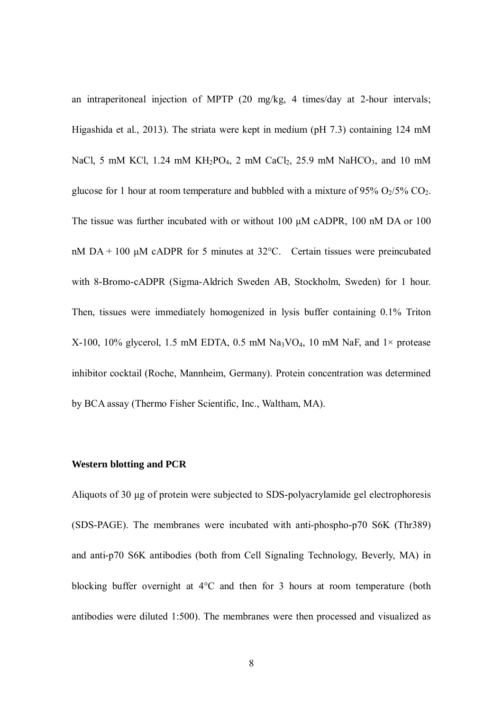an intraperitoneal injection of MPTP (20 mg/kg, 4 times/day at 2-hour intervals; Higashida et al., 2013). The striata were kept in medium (pH 7.3) containing 124 mM NaCl, 5 mM KCl, 1.24 mM KH<sub>2</sub>PO<sub>4</sub>, 2 mM CaCl<sub>2</sub>, 25.9 mM NaHCO<sub>3</sub>, and 10 mM glucose for 1 hour at room temperature and bubbled with a mixture of 95%  $O<sub>2</sub>/5%$  CO<sub>2</sub>. The tissue was further incubated with or without 100 μM cADPR, 100 nM DA or 100 nM  $DA + 100 \mu M$  cADPR for 5 minutes at 32 $^{\circ}$ C. Certain tissues were preincubated with 8-Bromo-cADPR (Sigma-Aldrich Sweden AB, Stockholm, Sweden) for 1 hour. Then, tissues were immediately homogenized in lysis buffer containing 0.1% Triton X-100, 10% glycerol, 1.5 mM EDTA, 0.5 mM Na<sub>3</sub>VO<sub>4</sub>, 10 mM NaF, and 1× protease inhibitor cocktail (Roche, Mannheim, Germany). Protein concentration was determined by BCA assay (Thermo Fisher Scientific, Inc., Waltham, MA).

#### **Western blotting and PCR**

Aliquots of 30 μg of protein were subjected to SDS-polyacrylamide gel electrophoresis (SDS-PAGE). The membranes were incubated with anti-phospho-p70 S6K (Thr389) and anti-p70 S6K antibodies (both from Cell Signaling Technology, Beverly, MA) in blocking buffer overnight at 4°C and then for 3 hours at room temperature (both antibodies were diluted 1:500). The membranes were then processed and visualized as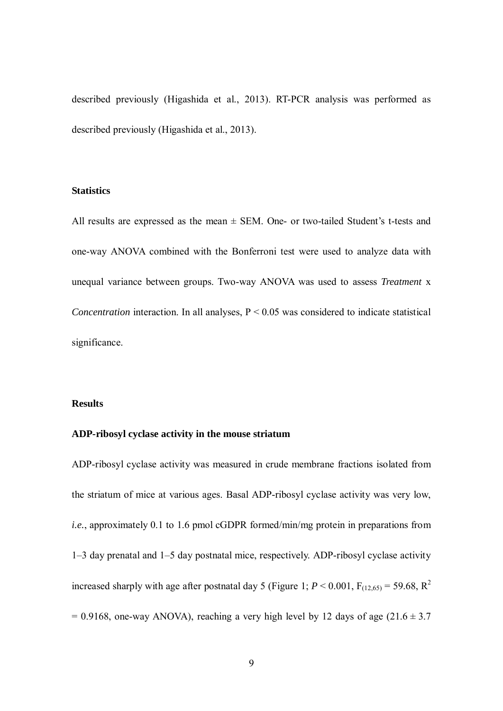described previously (Higashida et al., 2013). RT-PCR analysis was performed as described previously (Higashida et al., 2013).

## **Statistics**

All results are expressed as the mean  $\pm$  SEM. One- or two-tailed Student's t-tests and one-way ANOVA combined with the Bonferroni test were used to analyze data with unequal variance between groups. Two-way ANOVA was used to assess *Treatment* x *Concentration* interaction. In all analyses,  $P \le 0.05$  was considered to indicate statistical significance.

# **Results**

# **ADP-ribosyl cyclase activity in the mouse striatum**

ADP-ribosyl cyclase activity was measured in crude membrane fractions isolated from the striatum of mice at various ages. Basal ADP-ribosyl cyclase activity was very low, *i.e.*, approximately 0.1 to 1.6 pmol cGDPR formed/min/mg protein in preparations from 1–3 day prenatal and 1–5 day postnatal mice, respectively. ADP-ribosyl cyclase activity increased sharply with age after postnatal day 5 (Figure 1;  $P < 0.001$ ,  $F_{(12,65)} = 59.68$ ,  $R^2$  $= 0.9168$ , one-way ANOVA), reaching a very high level by 12 days of age (21.6  $\pm$  3.7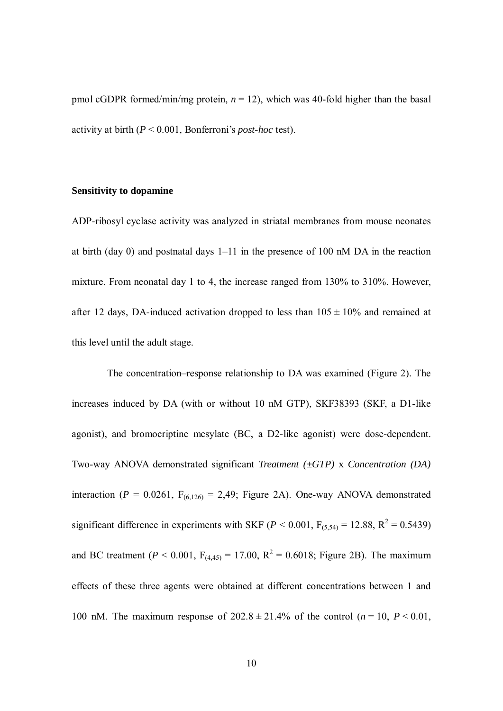pmol cGDPR formed/min/mg protein,  $n = 12$ ), which was 40-fold higher than the basal activity at birth (*P* < 0.001, Bonferroni's *post-hoc* test).

# **Sensitivity to dopamine**

ADP-ribosyl cyclase activity was analyzed in striatal membranes from mouse neonates at birth (day 0) and postnatal days 1–11 in the presence of 100 nM DA in the reaction mixture. From neonatal day 1 to 4, the increase ranged from 130% to 310%. However, after 12 days, DA-induced activation dropped to less than  $105 \pm 10\%$  and remained at this level until the adult stage.

The concentration–response relationship to DA was examined (Figure 2). The increases induced by DA (with or without 10 nM GTP), SKF38393 (SKF, a D1-like agonist), and bromocriptine mesylate (BC, a D2-like agonist) were dose-dependent. Two-way ANOVA demonstrated significant *Treatment (±GTP)* x *Concentration (DA)*  interaction ( $P = 0.0261$ ,  $F_{(6,126)} = 2,49$ ; Figure 2A). One-way ANOVA demonstrated significant difference in experiments with SKF ( $P < 0.001$ ,  $F_{(5,54)} = 12.88$ ,  $R^2 = 0.5439$ ) and BC treatment ( $P < 0.001$ ,  $F_{(4,45)} = 17.00$ ,  $R^2 = 0.6018$ ; Figure 2B). The maximum effects of these three agents were obtained at different concentrations between 1 and 100 nM. The maximum response of  $202.8 \pm 21.4\%$  of the control ( $n = 10$ ,  $P < 0.01$ ,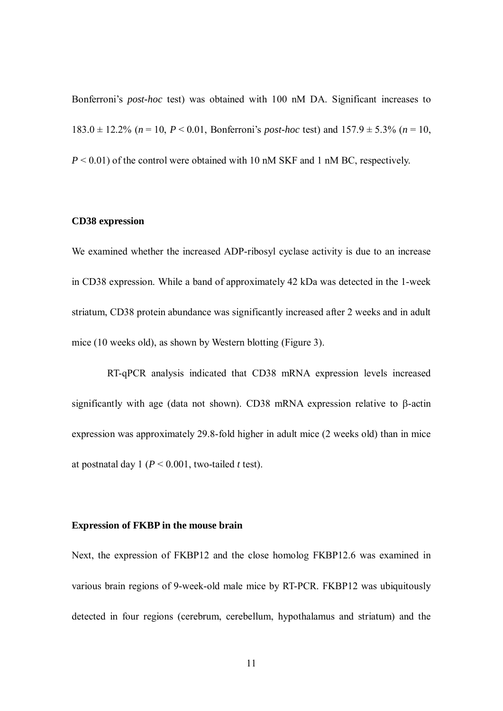Bonferroni's *post-hoc* test) was obtained with 100 nM DA. Significant increases to 183.0  $\pm$  12.2% ( $n = 10$ ,  $P < 0.01$ , Bonferroni's *post-hoc* test) and  $157.9 \pm 5.3$ % ( $n = 10$ , *P* < 0.01) of the control were obtained with 10 nM SKF and 1 nM BC, respectively.

## **CD38 expression**

We examined whether the increased ADP-ribosyl cyclase activity is due to an increase in CD38 expression. While a band of approximately 42 kDa was detected in the 1-week striatum, CD38 protein abundance was significantly increased after 2 weeks and in adult mice (10 weeks old), as shown by Western blotting (Figure 3).

RT-qPCR analysis indicated that CD38 mRNA expression levels increased significantly with age (data not shown). CD38 mRNA expression relative to β-actin expression was approximately 29.8-fold higher in adult mice (2 weeks old) than in mice at postnatal day 1 ( $P < 0.001$ , two-tailed *t* test).

#### **Expression of FKBP in the mouse brain**

Next, the expression of FKBP12 and the close homolog FKBP12.6 was examined in various brain regions of 9-week-old male mice by RT-PCR. FKBP12 was ubiquitously detected in four regions (cerebrum, cerebellum, hypothalamus and striatum) and the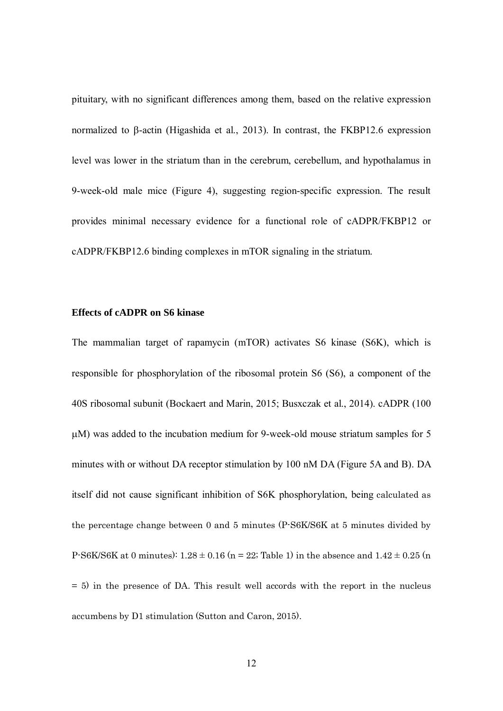pituitary, with no significant differences among them, based on the relative expression normalized to β-actin (Higashida et al., 2013). In contrast, the FKBP12.6 expression level was lower in the striatum than in the cerebrum, cerebellum, and hypothalamus in 9-week-old male mice (Figure 4), suggesting region-specific expression. The result provides minimal necessary evidence for a functional role of cADPR/FKBP12 or cADPR/FKBP12.6 binding complexes in mTOR signaling in the striatum.

## **Effects of cADPR on S6 kinase**

The mammalian target of rapamycin (mTOR) activates S6 kinase (S6K), which is responsible for phosphorylation of the ribosomal protein S6 (S6), a component of the 40S ribosomal subunit (Bockaert and Marin, 2015; Busxczak et al., 2014). cADPR (100 µM) was added to the incubation medium for 9-week-old mouse striatum samples for 5 minutes with or without DA receptor stimulation by 100 nM DA (Figure 5A and B). DA itself did not cause significant inhibition of S6K phosphorylation, being calculated as the percentage change between 0 and 5 minutes (P-S6K/S6K at 5 minutes divided by P-S6K/S6K at 0 minutes):  $1.28 \pm 0.16$  (n = 22; Table 1) in the absence and  $1.42 \pm 0.25$  (n = 5) in the presence of DA. This result well accords with the report in the nucleus accumbens by D1 stimulation (Sutton and Caron, 2015).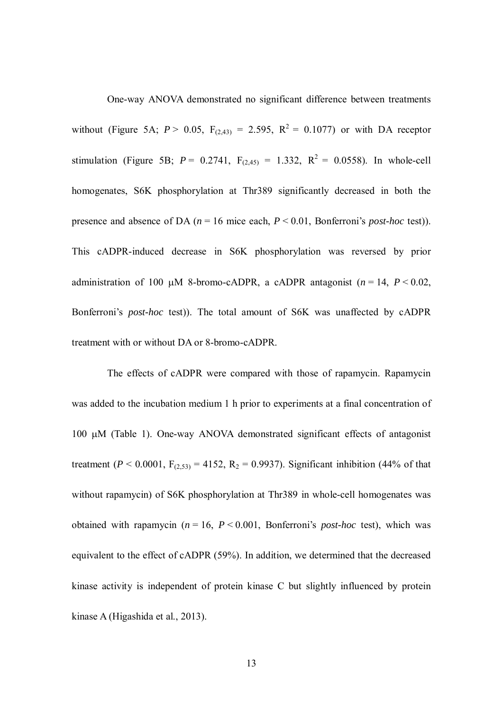One-way ANOVA demonstrated no significant difference between treatments without (Figure 5A;  $P > 0.05$ ,  $F_{(2,43)} = 2.595$ ,  $R^2 = 0.1077$ ) or with DA receptor stimulation (Figure 5B;  $P = 0.2741$ ,  $F_{(2,45)} = 1.332$ ,  $R^2 = 0.0558$ ). In whole-cell homogenates, S6K phosphorylation at Thr389 significantly decreased in both the presence and absence of DA (*n* = 16 mice each, *P* < 0.01, Bonferroni's *post-hoc* test)). This cADPR-induced decrease in S6K phosphorylation was reversed by prior administration of 100  $\mu$ M 8-bromo-cADPR, a cADPR antagonist ( $n = 14$ ,  $P < 0.02$ , Bonferroni's *post-hoc* test)). The total amount of S6K was unaffected by cADPR treatment with or without DA or 8-bromo-cADPR.

The effects of cADPR were compared with those of rapamycin. Rapamycin was added to the incubation medium 1 h prior to experiments at a final concentration of 100 µM (Table 1). One-way ANOVA demonstrated significant effects of antagonist treatment ( $P < 0.0001$ ,  $F_{(2,53)} = 4152$ ,  $R_2 = 0.9937$ ). Significant inhibition (44% of that without rapamycin) of S6K phosphorylation at Thr389 in whole-cell homogenates was obtained with rapamycin  $(n = 16, P < 0.001,$  Bonferroni's *post-hoc* test), which was equivalent to the effect of cADPR (59%). In addition, we determined that the decreased kinase activity is independent of protein kinase C but slightly influenced by protein kinase A (Higashida et al., 2013).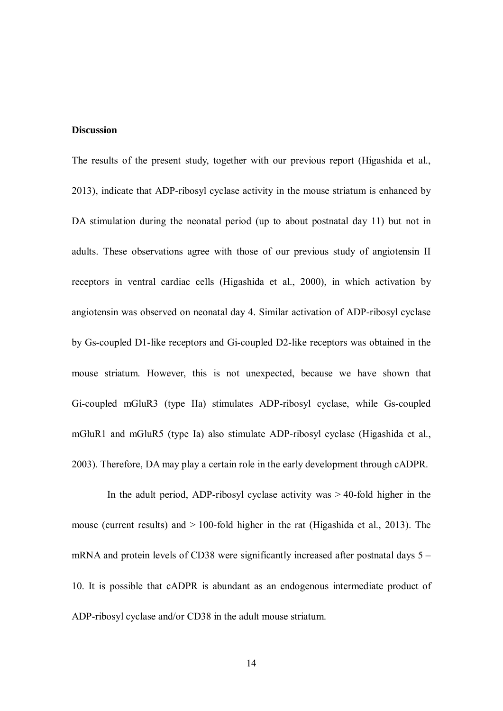#### **Discussion**

The results of the present study, together with our previous report (Higashida et al., 2013), indicate that ADP-ribosyl cyclase activity in the mouse striatum is enhanced by DA stimulation during the neonatal period (up to about postnatal day 11) but not in adults. These observations agree with those of our previous study of angiotensin II receptors in ventral cardiac cells (Higashida et al., 2000), in which activation by angiotensin was observed on neonatal day 4. Similar activation of ADP-ribosyl cyclase by Gs-coupled D1-like receptors and Gi-coupled D2-like receptors was obtained in the mouse striatum. However, this is not unexpected, because we have shown that Gi-coupled mGluR3 (type IIa) stimulates ADP-ribosyl cyclase, while Gs-coupled mGluR1 and mGluR5 (type Ia) also stimulate ADP-ribosyl cyclase (Higashida et al., 2003). Therefore, DA may play a certain role in the early development through cADPR.

In the adult period, ADP-ribosyl cyclase activity was  $> 40$ -fold higher in the mouse (current results) and  $> 100$ -fold higher in the rat (Higashida et al., 2013). The mRNA and protein levels of CD38 were significantly increased after postnatal days 5 – 10. It is possible that cADPR is abundant as an endogenous intermediate product of ADP-ribosyl cyclase and/or CD38 in the adult mouse striatum.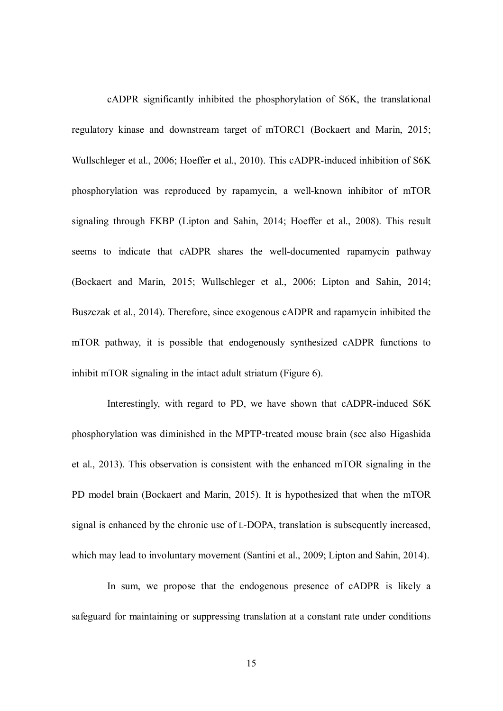cADPR significantly inhibited the phosphorylation of S6K, the translational regulatory kinase and downstream target of mTORC1 (Bockaert and Marin, 2015; Wullschleger et al., 2006; Hoeffer et al., 2010). This cADPR-induced inhibition of S6K phosphorylation was reproduced by rapamycin, a well-known inhibitor of mTOR signaling through FKBP (Lipton and Sahin, 2014; Hoeffer et al., 2008). This result seems to indicate that cADPR shares the well-documented rapamycin pathway (Bockaert and Marin, 2015; Wullschleger et al., 2006; Lipton and Sahin, 2014; Buszczak et al., 2014). Therefore, since exogenous cADPR and rapamycin inhibited the mTOR pathway, it is possible that endogenously synthesized cADPR functions to inhibit mTOR signaling in the intact adult striatum (Figure 6).

Interestingly, with regard to PD, we have shown that cADPR-induced S6K phosphorylation was diminished in the MPTP-treated mouse brain (see also Higashida et al., 2013). This observation is consistent with the enhanced mTOR signaling in the PD model brain (Bockaert and Marin, 2015). It is hypothesized that when the mTOR signal is enhanced by the chronic use of L-DOPA, translation is subsequently increased, which may lead to involuntary movement (Santini et al., 2009; Lipton and Sahin, 2014).

In sum, we propose that the endogenous presence of cADPR is likely a safeguard for maintaining or suppressing translation at a constant rate under conditions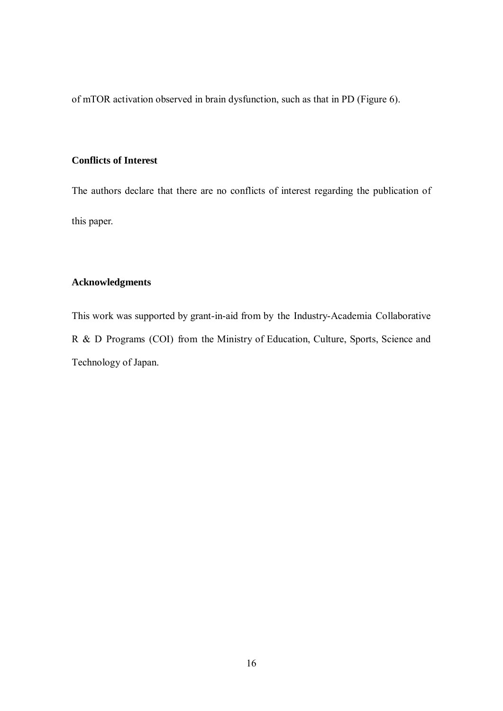of mTOR activation observed in brain dysfunction, such as that in PD (Figure 6).

# **Conflicts of Interest**

The authors declare that there are no conflicts of interest regarding the publication of this paper.

# **Acknowledgments**

This work was supported by grant-in-aid from by the Industry-Academia Collaborative R & D Programs (COI) from the Ministry of Education, Culture, Sports, Science and Technology of Japan.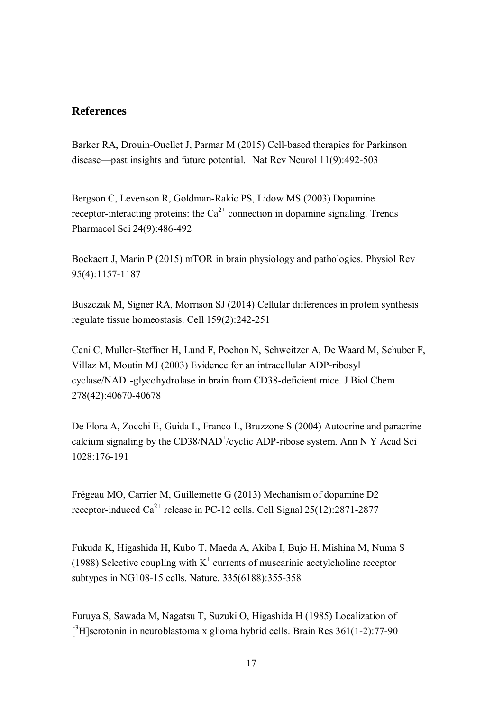# **References**

Barker RA, Drouin-Ouellet J, Parmar M (2015) Cell-based therapies for Parkinson disease—past insights and future potential. Nat Rev Neurol 11(9):492-503

Bergson C, Levenson R, Goldman-Rakic PS, Lidow MS (2003) Dopamine receptor-interacting proteins: the  $Ca^{2+}$  connection in dopamine signaling. Trends Pharmacol Sci 24(9):486-492

Bockaert J, Marin P (2015) mTOR in brain physiology and pathologies. Physiol Rev 95(4):1157-1187

Buszczak M, Signer RA, Morrison SJ (2014) Cellular differences in protein synthesis regulate tissue homeostasis. Cell 159(2):242-251

Ceni C, Muller-Steffner H, Lund F, Pochon N, Schweitzer A, De Waard M, Schuber F, Villaz M, Moutin MJ (2003) Evidence for an intracellular ADP-ribosyl cyclase/NAD<sup>+</sup>-glycohydrolase in brain from CD38-deficient mice. J Biol Chem 278(42):40670-40678

De Flora A, Zocchi E, Guida L, Franco L, Bruzzone S (2004) Autocrine and paracrine calcium signaling by the CD38/NAD<sup>+</sup>/cyclic ADP-ribose system. Ann N Y Acad Sci 1028:176-191

Frégeau MO, Carrier M, Guillemette G (2013) Mechanism of dopamine D2 receptor-induced  $Ca^{2+}$  release in PC-12 cells. Cell Signal 25(12):2871-2877

Fukuda K, Higashida H, Kubo T, Maeda A, Akiba I, Bujo H, Mishina M, Numa S (1988) Selective coupling with  $K^+$  currents of muscarinic acetylcholine receptor subtypes in NG108-15 cells. Nature. 335(6188):355-358

Furuya S, Sawada M, Nagatsu T, Suzuki O, Higashida H (1985) Localization of [<sup>3</sup>H]serotonin in neuroblastoma x glioma hybrid cells. Brain Res 361(1-2):77-90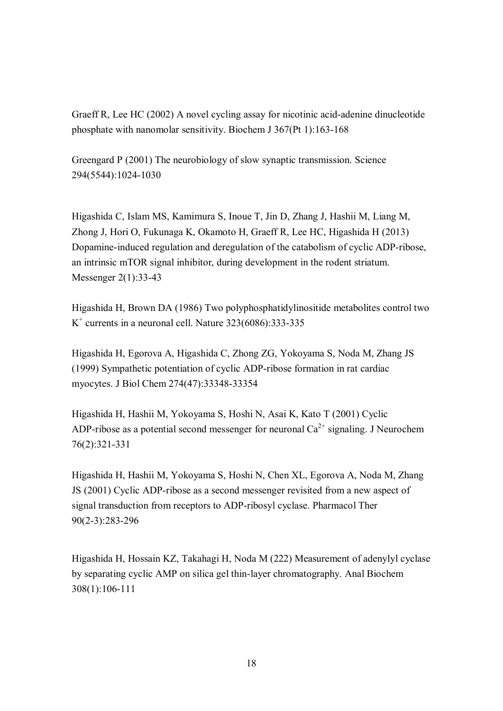Graeff R, Lee HC (2002) A novel cycling assay for nicotinic acid-adenine dinucleotide phosphate with nanomolar sensitivity. Biochem J 367(Pt 1):163-168

Greengard P (2001) The neurobiology of slow synaptic transmission. Science 294(5544):1024-1030

Higashida C, Islam MS, Kamimura S, Inoue T, Jin D, Zhang J, Hashii M, Liang M, Zhong J, Hori O, Fukunaga K, Okamoto H, Graeff R, Lee HC, Higashida H (2013) Dopamine-induced regulation and deregulation of the catabolism of cyclic ADP-ribose, an intrinsic mTOR signal inhibitor, during development in the rodent striatum. Messenger 2(1):33-43

Higashida H, Brown DA (1986) Two polyphosphatidylinositide metabolites control two  $K^+$  currents in a neuronal cell. Nature 323(6086):333-335

Higashida H, Egorova A, Higashida C, Zhong ZG, Yokoyama S, Noda M, Zhang JS (1999) Sympathetic potentiation of cyclic ADP-ribose formation in rat cardiac myocytes. J Biol Chem 274(47):33348-33354

Higashida H, Hashii M, Yokoyama S, Hoshi N, Asai K, Kato T (2001) Cyclic ADP-ribose as a potential second messenger for neuronal  $Ca^{2+}$  signaling. J Neurochem 76(2):321-331

Higashida H, Hashii M, Yokoyama S, Hoshi N, Chen XL, Egorova A, Noda M, Zhang JS (2001) Cyclic ADP-ribose as a second messenger revisited from a new aspect of signal transduction from receptors to ADP-ribosyl cyclase. Pharmacol Ther 90(2-3):283-296

Higashida H, Hossain KZ, Takahagi H, Noda M (222) Measurement of adenylyl cyclase by separating cyclic AMP on silica gel thin-layer chromatography. Anal Biochem 308(1):106-111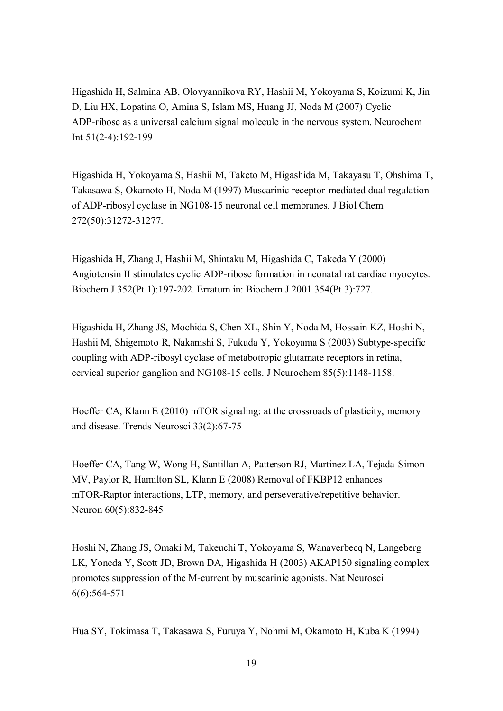Higashida H, Salmina AB, Olovyannikova RY, Hashii M, Yokoyama S, Koizumi K, Jin D, Liu HX, Lopatina O, Amina S, Islam MS, Huang JJ, Noda M (2007) Cyclic ADP-ribose as a universal calcium signal molecule in the nervous system. Neurochem Int 51(2-4):192-199

Higashida H, Yokoyama S, Hashii M, Taketo M, Higashida M, Takayasu T, Ohshima T, Takasawa S, Okamoto H, Noda M (1997) Muscarinic receptor-mediated dual regulation of ADP-ribosyl cyclase in NG108-15 neuronal cell membranes. J Biol Chem 272(50):31272-31277.

Higashida H, Zhang J, Hashii M, Shintaku M, Higashida C, Takeda Y (2000) Angiotensin II stimulates cyclic ADP-ribose formation in neonatal rat cardiac myocytes. Biochem J 352(Pt 1):197-202. Erratum in: Biochem J 2001 354(Pt 3):727.

Higashida H, Zhang JS, Mochida S, Chen XL, Shin Y, Noda M, Hossain KZ, Hoshi N, Hashii M, Shigemoto R, Nakanishi S, Fukuda Y, Yokoyama S (2003) Subtype-specific coupling with ADP-ribosyl cyclase of metabotropic glutamate receptors in retina, cervical superior ganglion and NG108-15 cells. J Neurochem 85(5):1148-1158.

Hoeffer CA, Klann E (2010) mTOR signaling: at the crossroads of plasticity, memory and disease. Trends Neurosci 33(2):67-75

Hoeffer CA, Tang W, Wong H, Santillan A, Patterson RJ, Martinez LA, Tejada-Simon MV, Paylor R, Hamilton SL, Klann E (2008) Removal of FKBP12 enhances mTOR-Raptor interactions, LTP, memory, and perseverative/repetitive behavior. Neuron 60(5):832-845

Hoshi N, Zhang JS, Omaki M, Takeuchi T, Yokoyama S, Wanaverbecq N, Langeberg LK, Yoneda Y, Scott JD, Brown DA, Higashida H (2003) AKAP150 signaling complex promotes suppression of the M-current by muscarinic agonists. Nat Neurosci 6(6):564-571

Hua SY, Tokimasa T, Takasawa S, Furuya Y, Nohmi M, Okamoto H, Kuba K (1994)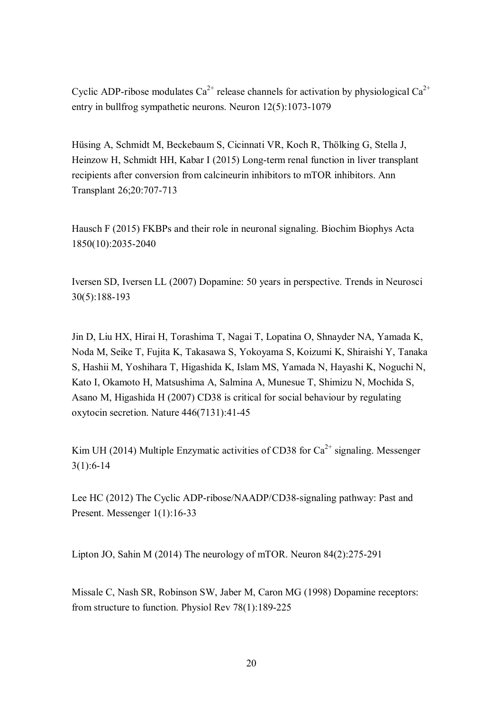Cyclic ADP-ribose modulates  $Ca^{2+}$  release channels for activation by physiological  $Ca^{2+}$ entry in bullfrog sympathetic neurons. Neuron 12(5):1073-1079

Hüsing A, Schmidt M, Beckebaum S, Cicinnati VR, Koch R, Thölking G, Stella J, Heinzow H, Schmidt HH, Kabar I (2015) Long-term renal function in liver transplant recipients after conversion from calcineurin inhibitors to mTOR inhibitors. Ann Transplant 26;20:707-713

Hausch F (2015) FKBPs and their role in neuronal signaling. Biochim Biophys Acta 1850(10):2035-2040

Iversen SD, Iversen LL (2007) Dopamine: 50 years in perspective. Trends in Neurosci 30(5):188-193

Jin D, Liu HX, Hirai H, Torashima T, Nagai T, Lopatina O, Shnayder NA, Yamada K, Noda M, Seike T, Fujita K, Takasawa S, Yokoyama S, Koizumi K, Shiraishi Y, Tanaka S, Hashii M, Yoshihara T, Higashida K, Islam MS, Yamada N, Hayashi K, Noguchi N, Kato I, Okamoto H, Matsushima A, Salmina A, Munesue T, Shimizu N, Mochida S, Asano M, Higashida H (2007) CD38 is critical for social behaviour by regulating oxytocin secretion. Nature 446(7131):41-45

Kim UH (2014) Multiple Enzymatic activities of CD38 for  $Ca^{2+}$  signaling. Messenger 3(1):6-14

Lee HC (2012) The Cyclic ADP-ribose/NAADP/CD38-signaling pathway: Past and Present. Messenger 1(1):16-33

Lipton JO, Sahin M (2014) The neurology of mTOR. Neuron 84(2):275-291

Missale C, Nash SR, Robinson SW, Jaber M, Caron MG (1998) Dopamine receptors: from structure to function. Physiol Rev 78(1):189-225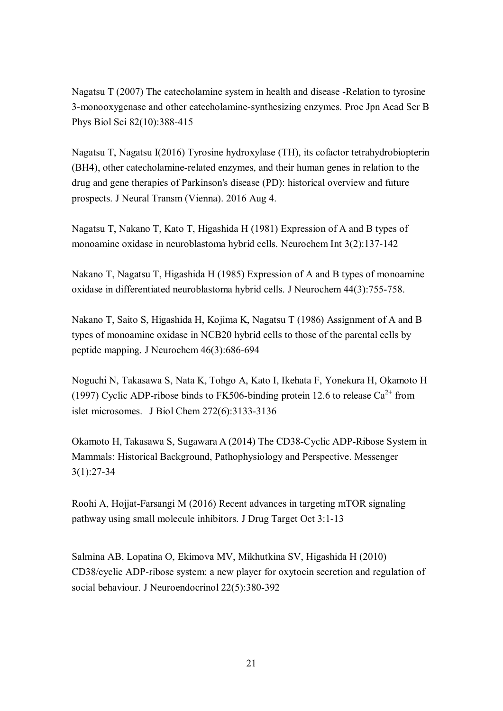Nagatsu T (2007) The catecholamine system in health and disease -Relation to tyrosine 3-monooxygenase and other catecholamine-synthesizing enzymes. Proc Jpn Acad Ser B Phys Biol Sci 82(10):388-415

Nagatsu T, Nagatsu I(2016) Tyrosine hydroxylase (TH), its cofactor tetrahydrobiopterin (BH4), other catecholamine-related enzymes, and their human genes in relation to the drug and gene therapies of Parkinson's disease (PD): historical overview and future prospects. J Neural Transm (Vienna). 2016 Aug 4.

Nagatsu T, Nakano T, Kato T, Higashida H (1981) Expression of A and B types of monoamine oxidase in neuroblastoma hybrid cells. Neurochem Int 3(2):137-142

Nakano T, Nagatsu T, Higashida H (1985) Expression of A and B types of monoamine oxidase in differentiated neuroblastoma hybrid cells. J Neurochem 44(3):755-758.

Nakano T, Saito S, Higashida H, Kojima K, Nagatsu T (1986) Assignment of A and B types of monoamine oxidase in NCB20 hybrid cells to those of the parental cells by peptide mapping. J Neurochem 46(3):686-694

Noguchi N, Takasawa S, Nata K, Tohgo A, Kato I, Ikehata F, Yonekura H, Okamoto H (1997) Cyclic ADP-ribose binds to FK506-binding protein 12.6 to release  $Ca^{2+}$  from islet microsomes. J Biol Chem 272(6):3133-3136

Okamoto H, Takasawa S, Sugawara A (2014) The CD38-Cyclic ADP-Ribose System in Mammals: Historical Background, Pathophysiology and Perspective. Messenger 3(1):27-34

Roohi A, Hojjat-Farsangi M (2016) Recent advances in targeting mTOR signaling pathway using small molecule inhibitors. J Drug Target Oct 3:1-13

Salmina AB, Lopatina O, Ekimova MV, Mikhutkina SV, Higashida H (2010) CD38/cyclic ADP-ribose system: a new player for oxytocin secretion and regulation of social behaviour. J Neuroendocrinol 22(5):380-392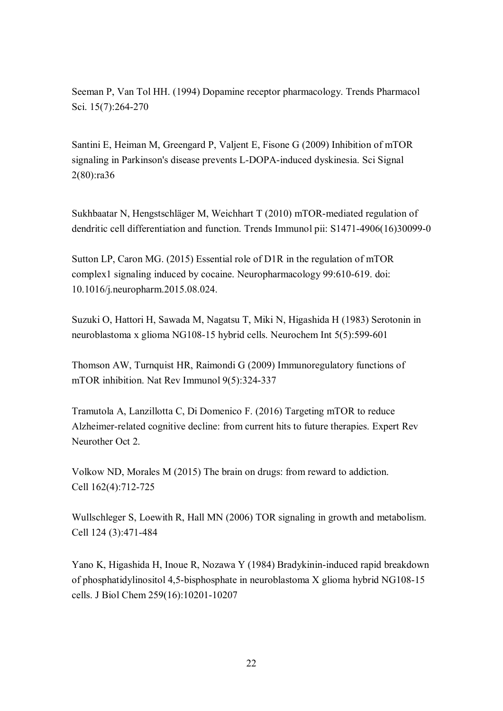Seeman P, Van Tol HH. (1994) Dopamine receptor pharmacology. Trends Pharmacol Sci. 15(7):264-270

Santini E, Heiman M, Greengard P, Valjent E, Fisone G (2009) Inhibition of mTOR signaling in Parkinson's disease prevents L-DOPA-induced dyskinesia. Sci Signal 2(80):ra36

Sukhbaatar N, Hengstschläger M, Weichhart T (2010) mTOR-mediated regulation of dendritic cell differentiation and function. Trends Immunol pii: S1471-4906(16)30099-0

Sutton LP, Caron MG. (2015) Essential role of D1R in the regulation of mTOR complex1 signaling induced by cocaine. Neuropharmacology 99:610-619. doi: 10.1016/j.neuropharm.2015.08.024.

Suzuki O, Hattori H, Sawada M, Nagatsu T, Miki N, Higashida H (1983) Serotonin in neuroblastoma x glioma NG108-15 hybrid cells. Neurochem Int 5(5):599-601

Thomson AW, Turnquist HR, Raimondi G (2009) Immunoregulatory functions of mTOR inhibition. Nat Rev Immunol 9(5):324-337

Tramutola A, Lanzillotta C, Di Domenico F. (2016) Targeting mTOR to reduce Alzheimer-related cognitive decline: from current hits to future therapies. Expert Rev Neurother Oct 2.

Volkow ND, Morales M (2015) The brain on drugs: from reward to addiction. Cell 162(4):712-725

Wullschleger S, Loewith R, Hall MN (2006) TOR signaling in growth and metabolism. Cell 124 (3):471-484

Yano K, Higashida H, Inoue R, Nozawa Y (1984) Bradykinin-induced rapid breakdown of phosphatidylinositol 4,5-bisphosphate in neuroblastoma X glioma hybrid NG108-15 cells. J Biol Chem 259(16):10201-10207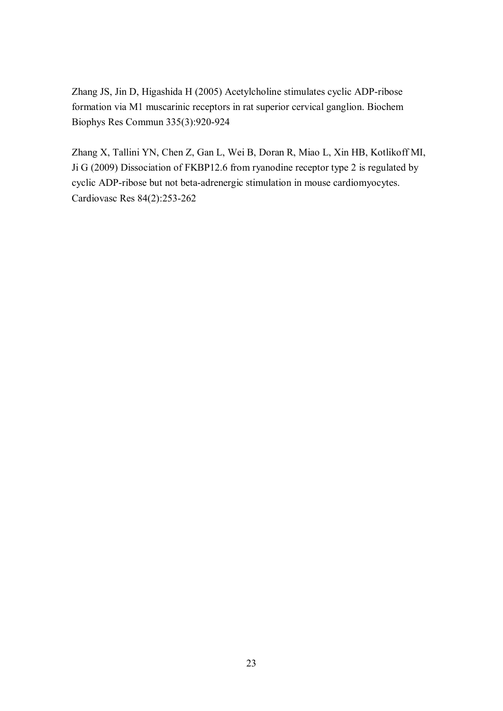Zhang JS, Jin D, Higashida H (2005) Acetylcholine stimulates cyclic ADP-ribose formation via M1 muscarinic receptors in rat superior cervical ganglion. Biochem Biophys Res Commun 335(3):920-924

Zhang X, Tallini YN, Chen Z, Gan L, Wei B, Doran R, Miao L, Xin HB, Kotlikoff MI, Ji G (2009) Dissociation of FKBP12.6 from ryanodine receptor type 2 is regulated by cyclic ADP-ribose but not beta-adrenergic stimulation in mouse cardiomyocytes. Cardiovasc Res 84(2):253-262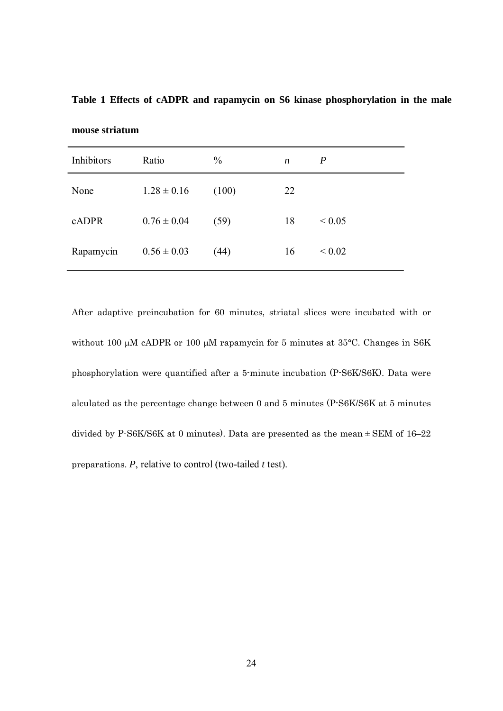**Table 1 Effects of cADPR and rapamycin on S6 kinase phosphorylation in the male** 

| Inhibitors | Ratio           | $\frac{0}{0}$ | $\boldsymbol{n}$ | $\boldsymbol{P}$ |
|------------|-----------------|---------------|------------------|------------------|
| None       | $1.28 \pm 0.16$ | (100)         | 22               |                  |
| cADPR      | $0.76 \pm 0.04$ | (59)          | 18               | ${}_{0.05}$      |
| Rapamycin  | $0.56 \pm 0.03$ | (44)          | 16               | ${}_{0.02}$      |

**mouse striatum** 

After adaptive preincubation for 60 minutes, striatal slices were incubated with or without 100 µM cADPR or 100 µM rapamycin for 5 minutes at 35°C. Changes in S6K phosphorylation were quantified after a 5-minute incubation (P-S6K/S6K). Data were alculated as the percentage change between 0 and 5 minutes (P-S6K/S6K at 5 minutes divided by P-S6K/S6K at 0 minutes). Data are presented as the mean ± SEM of 16–22 preparations. *P*, relative to control (two-tailed *t* test).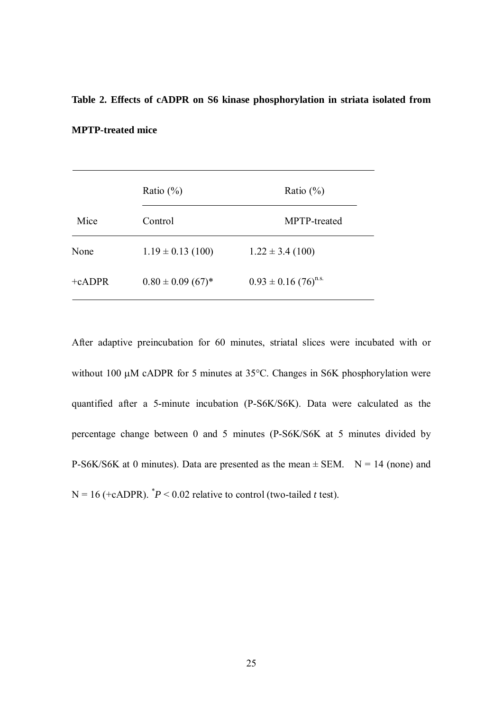# **Table 2. Effects of cADPR on S6 kinase phosphorylation in striata isolated from**

#### **MPTP-treated mice**

|          | Ratio $(\% )$                     | Ratio $(\% )$                        |
|----------|-----------------------------------|--------------------------------------|
| Mice     | Control                           | MPTP-treated                         |
| None     | $1.19 \pm 0.13$ (100)             | $1.22 \pm 3.4$ (100)                 |
| $+cADPR$ | $0.80 \pm 0.09$ (67) <sup>*</sup> | $0.93 \pm 0.16$ (76) <sup>n.s.</sup> |

After adaptive preincubation for 60 minutes, striatal slices were incubated with or without 100  $\mu$ M cADPR for 5 minutes at 35°C. Changes in S6K phosphorylation were quantified after a 5-minute incubation (P-S6K/S6K). Data were calculated as the percentage change between 0 and 5 minutes (P-S6K/S6K at 5 minutes divided by P-S6K/S6K at 0 minutes). Data are presented as the mean  $\pm$  SEM. N = 14 (none) and  $N = 16$  (+cADPR).  $P^* > 0.02$  relative to control (two-tailed *t* test).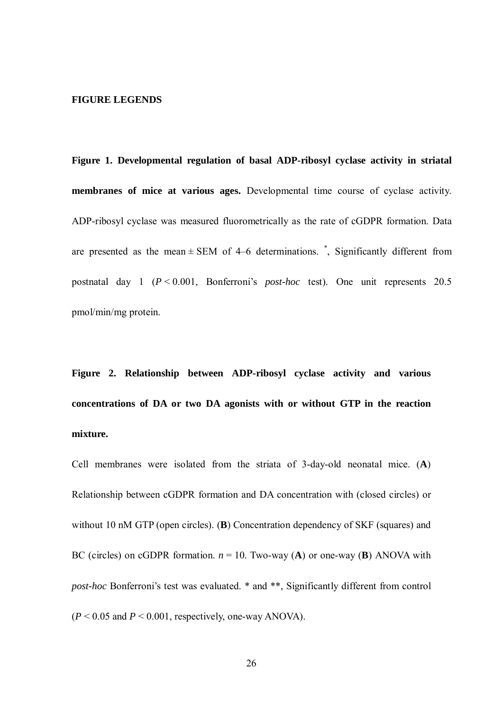#### **FIGURE LEGENDS**

**Figure 1. Developmental regulation of basal ADP-ribosyl cyclase activity in striatal membranes of mice at various ages.** Developmental time course of cyclase activity. ADP-ribosyl cyclase was measured fluorometrically as the rate of cGDPR formation. Data are presented as the mean  $\pm$  SEM of 4–6 determinations.  $\dot{\phantom{a}}$ , Significantly different from postnatal day 1 (*P* < 0.001, Bonferroni's *post-hoc* test). One unit represents 20.5 pmol/min/mg protein.

**Figure 2. Relationship between ADP-ribosyl cyclase activity and various concentrations of DA or two DA agonists with or without GTP in the reaction mixture.**

Cell membranes were isolated from the striata of 3-day-old neonatal mice. (**A**) Relationship between cGDPR formation and DA concentration with (closed circles) or without 10 nM GTP (open circles). (**B**) Concentration dependency of SKF (squares) and BC (circles) on cGDPR formation.  $n = 10$ . Two-way (**A**) or one-way (**B**) ANOVA with *post-hoc* Bonferroni's test was evaluated. \* and \*\*, Significantly different from control  $(P < 0.05$  and  $P < 0.001$ , respectively, one-way ANOVA).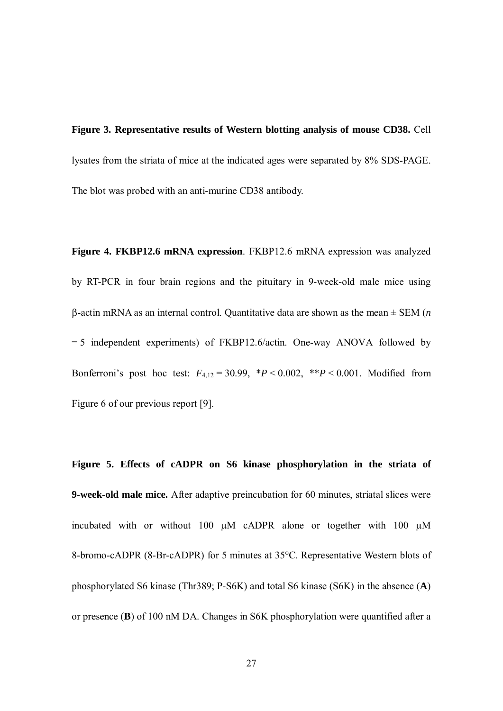**Figure 3. Representative results of Western blotting analysis of mouse CD38.** Cell lysates from the striata of mice at the indicated ages were separated by 8% SDS-PAGE. The blot was probed with an anti-murine CD38 antibody.

**Figure 4. FKBP12.6 mRNA expression**. FKBP12.6 mRNA expression was analyzed by RT-PCR in four brain regions and the pituitary in 9-week-old male mice using β-actin mRNA as an internal control. Quantitative data are shown as the mean ± SEM (*n*  $= 5$  independent experiments) of FKBP12.6/actin. One-way ANOVA followed by Bonferroni's post hoc test:  $F_{4,12} = 30.99$ ,  $*P < 0.002$ ,  $*P < 0.001$ . Modified from Figure 6 of our previous report [9].

**Figure 5. Effects of cADPR on S6 kinase phosphorylation in the striata of 9-week-old male mice.** After adaptive preincubation for 60 minutes, striatal slices were incubated with or without 100 µM cADPR alone or together with 100 µM 8-bromo-cADPR (8-Br-cADPR) for 5 minutes at 35°C. Representative Western blots of phosphorylated S6 kinase (Thr389; P-S6K) and total S6 kinase (S6K) in the absence (**A**) or presence (**B**) of 100 nM DA. Changes in S6K phosphorylation were quantified after a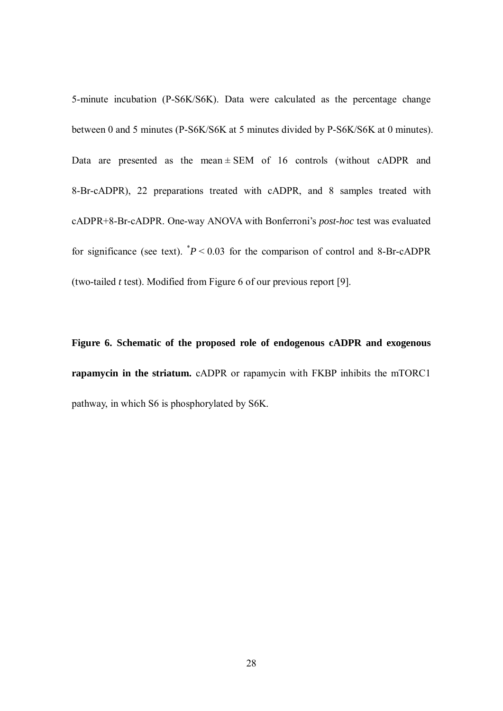5-minute incubation (P-S6K/S6K). Data were calculated as the percentage change between 0 and 5 minutes (P-S6K/S6K at 5 minutes divided by P-S6K/S6K at 0 minutes). Data are presented as the mean  $\pm$  SEM of 16 controls (without cADPR and 8-Br-cADPR), 22 preparations treated with cADPR, and 8 samples treated with cADPR+8-Br-cADPR. One-way ANOVA with Bonferroni's *post-hoc* test was evaluated for significance (see text).  $P < 0.03$  for the comparison of control and 8-Br-cADPR (two-tailed *t* test). Modified from Figure 6 of our previous report [9].

**Figure 6. Schematic of the proposed role of endogenous cADPR and exogenous rapamycin in the striatum.** cADPR or rapamycin with FKBP inhibits the mTORC1 pathway, in which S6 is phosphorylated by S6K.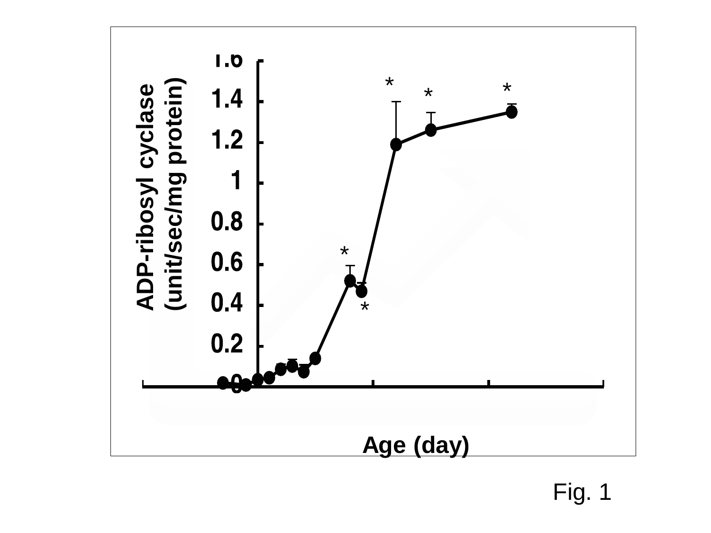

Fig. 1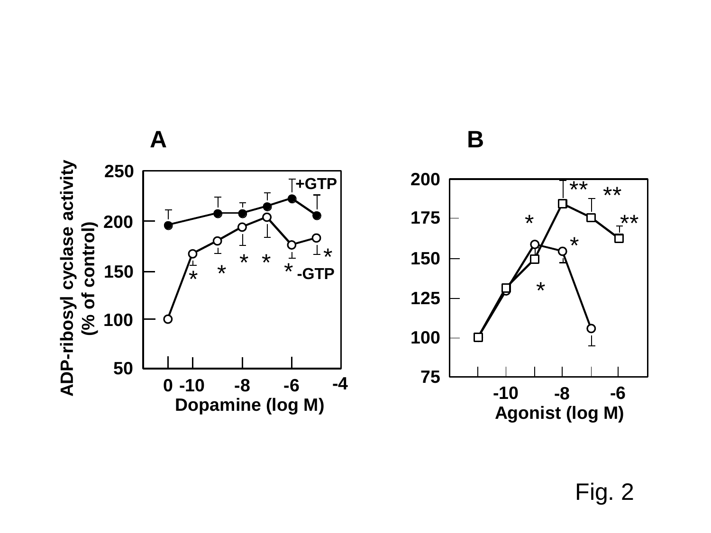

Fig. 2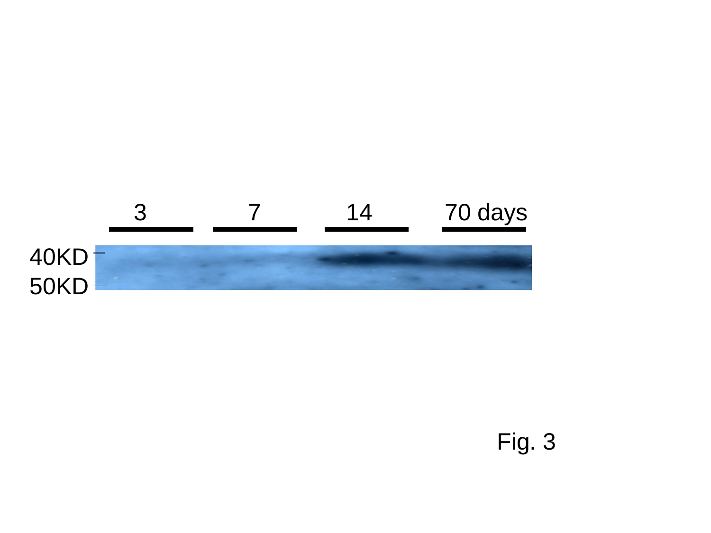

# Fig. 3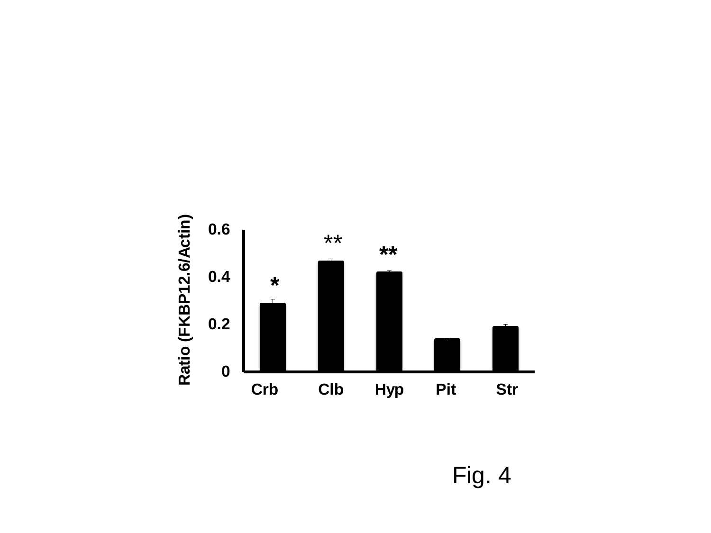

Fig. 4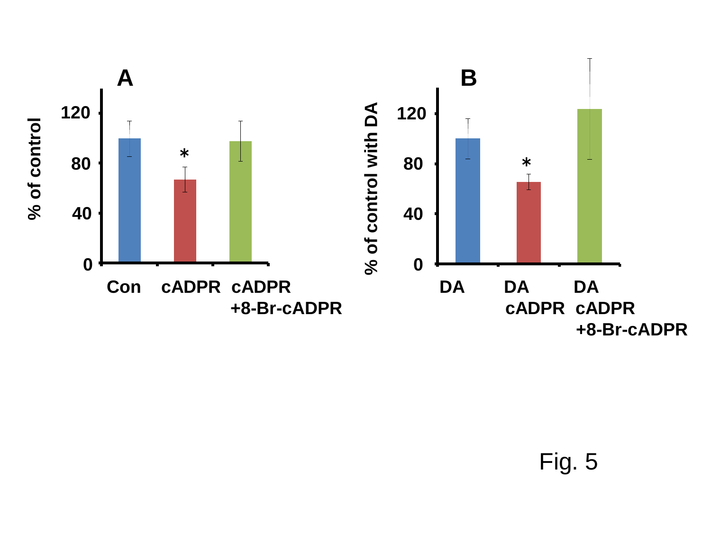

Fig. 5